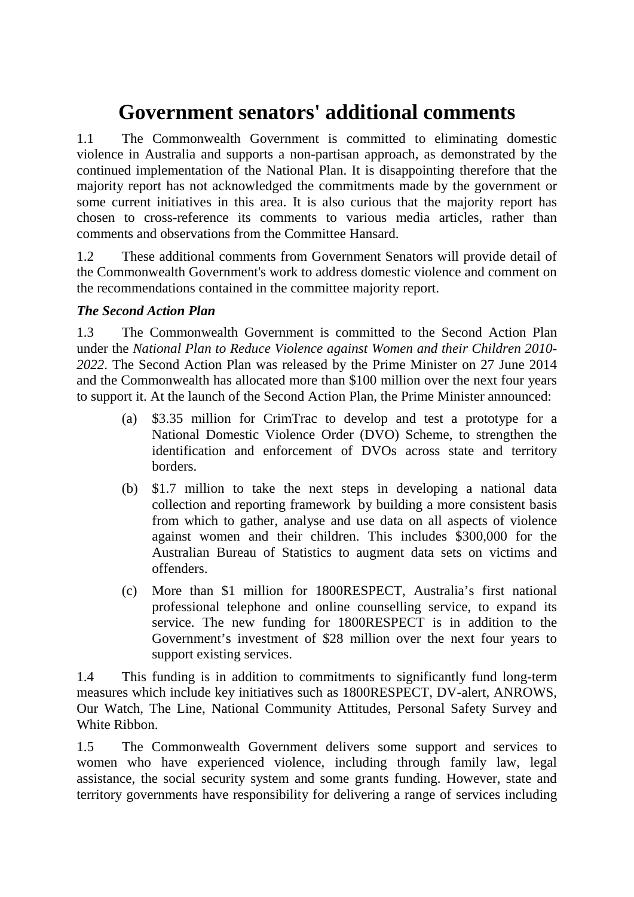# **Government senators' additional comments**

1.1 The Commonwealth Government is committed to eliminating domestic violence in Australia and supports a non-partisan approach, as demonstrated by the continued implementation of the National Plan. It is disappointing therefore that the majority report has not acknowledged the commitments made by the government or some current initiatives in this area. It is also curious that the majority report has chosen to cross-reference its comments to various media articles, rather than comments and observations from the Committee Hansard.

1.2 These additional comments from Government Senators will provide detail of the Commonwealth Government's work to address domestic violence and comment on the recommendations contained in the committee majority report.

## *The Second Action Plan*

1.3 The Commonwealth Government is committed to the Second Action Plan under the *National Plan to Reduce Violence against Women and their Children 2010- 2022*. The Second Action Plan was released by the Prime Minister on 27 June 2014 and the Commonwealth has allocated more than \$100 million over the next four years to support it. At the launch of the Second Action Plan, the Prime Minister announced:

- (a) \$3.35 million for CrimTrac to develop and test a prototype for a National Domestic Violence Order (DVO) Scheme, to strengthen the identification and enforcement of DVOs across state and territory borders.
- (b) \$1.7 million to take the next steps in developing a national data collection and reporting framework by building a more consistent basis from which to gather, analyse and use data on all aspects of violence against women and their children. This includes \$300,000 for the Australian Bureau of Statistics to augment data sets on victims and offenders.
- (c) More than \$1 million for 1800RESPECT, Australia's first national professional telephone and online counselling service, to expand its service. The new funding for 1800RESPECT is in addition to the Government's investment of \$28 million over the next four years to support existing services.

1.4 This funding is in addition to commitments to significantly fund long-term measures which include key initiatives such as 1800RESPECT, DV-alert, ANROWS, Our Watch, The Line, National Community Attitudes, Personal Safety Survey and White Ribbon.

1.5 The Commonwealth Government delivers some support and services to women who have experienced violence, including through family law, legal assistance, the social security system and some grants funding. However, state and territory governments have responsibility for delivering a range of services including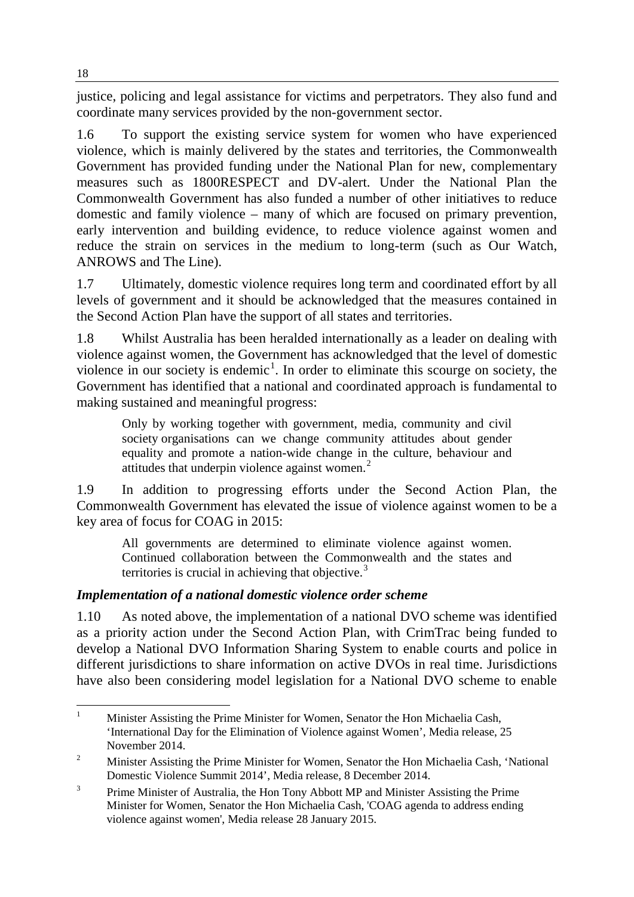justice, policing and legal assistance for victims and perpetrators. They also fund and coordinate many services provided by the non-government sector.

1.6 To support the existing service system for women who have experienced violence, which is mainly delivered by the states and territories, the Commonwealth Government has provided funding under the National Plan for new, complementary measures such as 1800RESPECT and DV-alert. Under the National Plan the Commonwealth Government has also funded a number of other initiatives to reduce domestic and family violence – many of which are focused on primary prevention, early intervention and building evidence, to reduce violence against women and reduce the strain on services in the medium to long-term (such as Our Watch, ANROWS and The Line).

1.7 Ultimately, domestic violence requires long term and coordinated effort by all levels of government and it should be acknowledged that the measures contained in the Second Action Plan have the support of all states and territories.

1.8 Whilst Australia has been heralded internationally as a leader on dealing with violence against women, the Government has acknowledged that the level of domestic violence in our society is endemic<sup>[1](#page-1-0)</sup>. In order to eliminate this scourge on society, the Government has identified that a national and coordinated approach is fundamental to making sustained and meaningful progress:

Only by working together with government, media, community and civil society organisations can we change community attitudes about gender equality and promote a nation-wide change in the culture, behaviour and attitudes that underpin violence against women.<sup>[2](#page-1-1)</sup>

1.9 In addition to progressing efforts under the Second Action Plan, the Commonwealth Government has elevated the issue of violence against women to be a key area of focus for COAG in 2015:

All governments are determined to eliminate violence against women. Continued collaboration between the Commonwealth and the states and territories is crucial in achieving that objective. $3$ 

# *Implementation of a national domestic violence order scheme*

1.10 As noted above, the implementation of a national DVO scheme was identified as a priority action under the Second Action Plan, with CrimTrac being funded to develop a National DVO Information Sharing System to enable courts and police in different jurisdictions to share information on active DVOs in real time. Jurisdictions have also been considering model legislation for a National DVO scheme to enable

<span id="page-1-0"></span><sup>1</sup> Minister Assisting the Prime Minister for Women, Senator the Hon Michaelia Cash, 'International Day for the Elimination of Violence against Women', Media release, 25 November 2014.  $\mathbf{1}$ 

<span id="page-1-1"></span><sup>&</sup>lt;sup>2</sup> Minister Assisting the Prime Minister for Women, Senator the Hon Michaelia Cash, 'National Domestic Violence Summit 2014', Media release, 8 December 2014.

<span id="page-1-2"></span><sup>&</sup>lt;sup>3</sup> Prime Minister of Australia, the Hon Tony Abbott MP and Minister Assisting the Prime Minister for Women, Senator the Hon Michaelia Cash, 'COAG agenda to address ending violence against women', Media release 28 January 2015.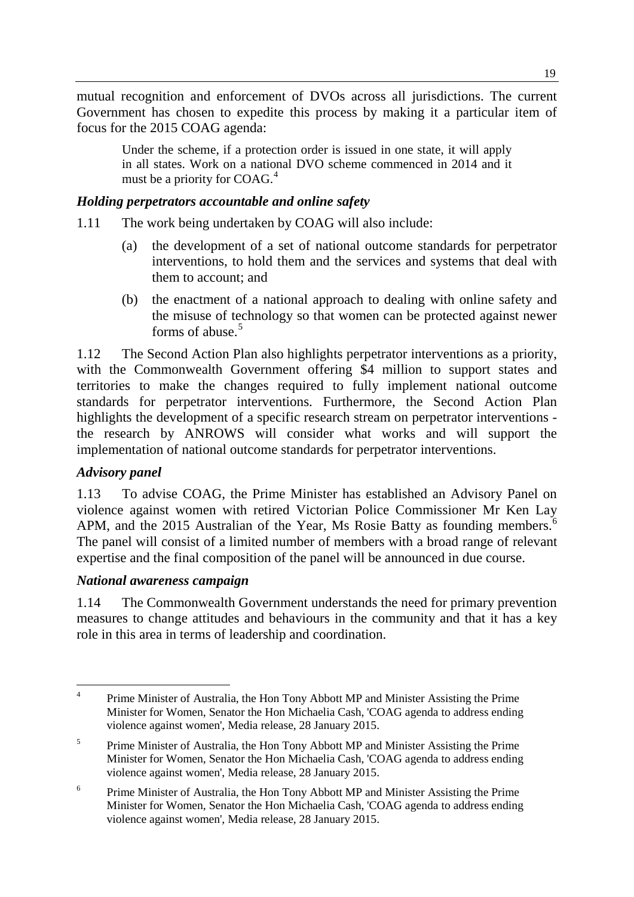mutual recognition and enforcement of DVOs across all jurisdictions. The current Government has chosen to expedite this process by making it a particular item of focus for the 2015 COAG agenda:

Under the scheme, if a protection order is issued in one state, it will apply in all states. Work on a national DVO scheme commenced in 2014 and it must be a priority for COAG.<sup>[4](#page-2-0)</sup>

## *Holding perpetrators accountable and online safety*

- 1.11 The work being undertaken by COAG will also include:
	- (a) the development of a set of national outcome standards for perpetrator interventions, to hold them and the services and systems that deal with them to account; and
	- (b) the enactment of a national approach to dealing with online safety and the misuse of technology so that women can be protected against newer forms of abuse. $5$

1.12 The Second Action Plan also highlights perpetrator interventions as a priority, with the Commonwealth Government offering \$4 million to support states and territories to make the changes required to fully implement national outcome standards for perpetrator interventions. Furthermore, the Second Action Plan highlights the development of a specific research stream on perpetrator interventions the research by ANROWS will consider what works and will support the implementation of national outcome standards for perpetrator interventions.

## *Advisory panel*

1.13 To advise COAG, the Prime Minister has established an Advisory Panel on violence against women with retired Victorian Police Commissioner Mr Ken Lay APM, and the 2015 Australian of the Year, Ms Rosie Batty as founding members.<sup>[6](#page-2-2)</sup> The panel will consist of a limited number of members with a broad range of relevant expertise and the final composition of the panel will be announced in due course.

## *National awareness campaign*

1.14 The Commonwealth Government understands the need for primary prevention measures to change attitudes and behaviours in the community and that it has a key role in this area in terms of leadership and coordination.

<span id="page-2-0"></span><sup>4</sup> Prime Minister of Australia, the Hon Tony Abbott MP and Minister Assisting the Prime Minister for Women, Senator the Hon Michaelia Cash, 'COAG agenda to address ending violence against women', Media release, 28 January 2015.  $\overline{4}$ 

<span id="page-2-1"></span><sup>&</sup>lt;sup>5</sup> Prime Minister of Australia, the Hon Tony Abbott MP and Minister Assisting the Prime Minister for Women, Senator the Hon Michaelia Cash, 'COAG agenda to address ending violence against women', Media release, 28 January 2015.

<span id="page-2-2"></span><sup>&</sup>lt;sup>6</sup> Prime Minister of Australia, the Hon Tony Abbott MP and Minister Assisting the Prime Minister for Women, Senator the Hon Michaelia Cash, 'COAG agenda to address ending violence against women', Media release, 28 January 2015.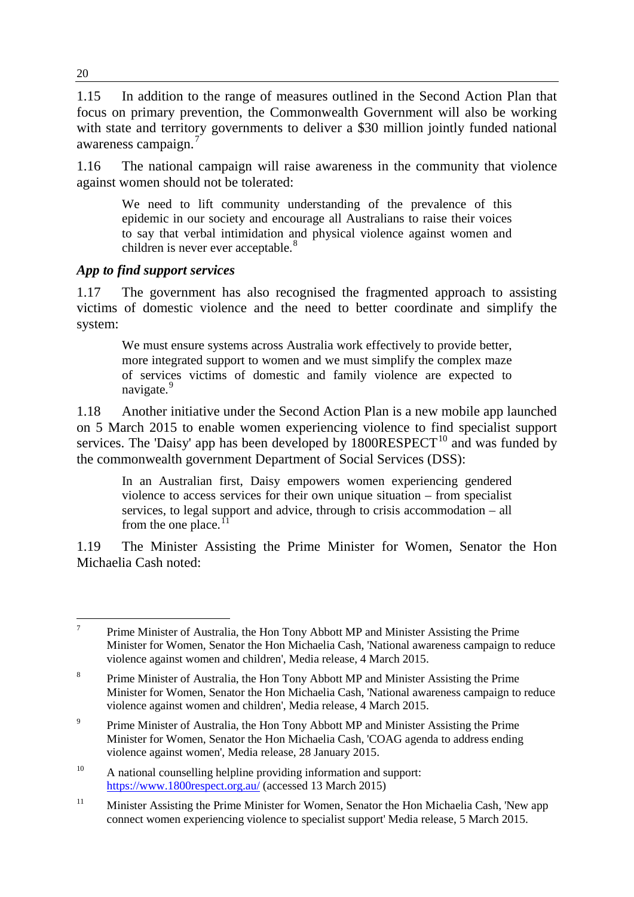1.15 In addition to the range of measures outlined in the Second Action Plan that focus on primary prevention, the Commonwealth Government will also be working with state and territory governments to deliver a \$30 million jointly funded national awareness campaign.<sup>[7](#page-3-0)</sup>

1.16 The national campaign will raise awareness in the community that violence against women should not be tolerated:

We need to lift community understanding of the prevalence of this epidemic in our society and encourage all Australians to raise their voices to say that verbal intimidation and physical violence against women and children is never ever acceptable.<sup>[8](#page-3-1)</sup>

## *App to find support services*

1.17 The government has also recognised the fragmented approach to assisting victims of domestic violence and the need to better coordinate and simplify the system:

We must ensure systems across Australia work effectively to provide better, more integrated support to women and we must simplify the complex maze of services victims of domestic and family violence are expected to navigate.<sup>[9](#page-3-2)</sup>

1.18 Another initiative under the Second Action Plan is a new mobile app launched on 5 March 2015 to enable women experiencing violence to find specialist support services. The 'Daisy' app has been developed by  $1800$ RESPECT<sup>[10](#page-3-3)</sup> and was funded by the commonwealth government Department of Social Services (DSS):

In an Australian first, Daisy empowers women experiencing gendered violence to access services for their own unique situation – from specialist services, to legal support and advice, through to crisis accommodation – all from the one place. $<sup>1</sup>$ </sup>

1.19 The Minister Assisting the Prime Minister for Women, Senator the Hon Michaelia Cash noted:

<span id="page-3-0"></span><sup>7</sup> Prime Minister of Australia, the Hon Tony Abbott MP and Minister Assisting the Prime Minister for Women, Senator the Hon Michaelia Cash, 'National awareness campaign to reduce violence against women and children', Media release, 4 March 2015.  $\overline{7}$ 

<span id="page-3-1"></span><sup>&</sup>lt;sup>8</sup> Prime Minister of Australia, the Hon Tony Abbott MP and Minister Assisting the Prime Minister for Women, Senator the Hon Michaelia Cash, 'National awareness campaign to reduce violence against women and children', Media release, 4 March 2015.

<span id="page-3-2"></span><sup>&</sup>lt;sup>9</sup> Prime Minister of Australia, the Hon Tony Abbott MP and Minister Assisting the Prime Minister for Women, Senator the Hon Michaelia Cash, 'COAG agenda to address ending violence against women', Media release, 28 January 2015.

<span id="page-3-3"></span><sup>&</sup>lt;sup>10</sup> A national counselling helpline providing information and support: <https://www.1800respect.org.au/> (accessed 13 March 2015)

<span id="page-3-4"></span><sup>&</sup>lt;sup>11</sup> Minister Assisting the Prime Minister for Women, Senator the Hon Michaelia Cash, 'New app connect women experiencing violence to specialist support' Media release, 5 March 2015.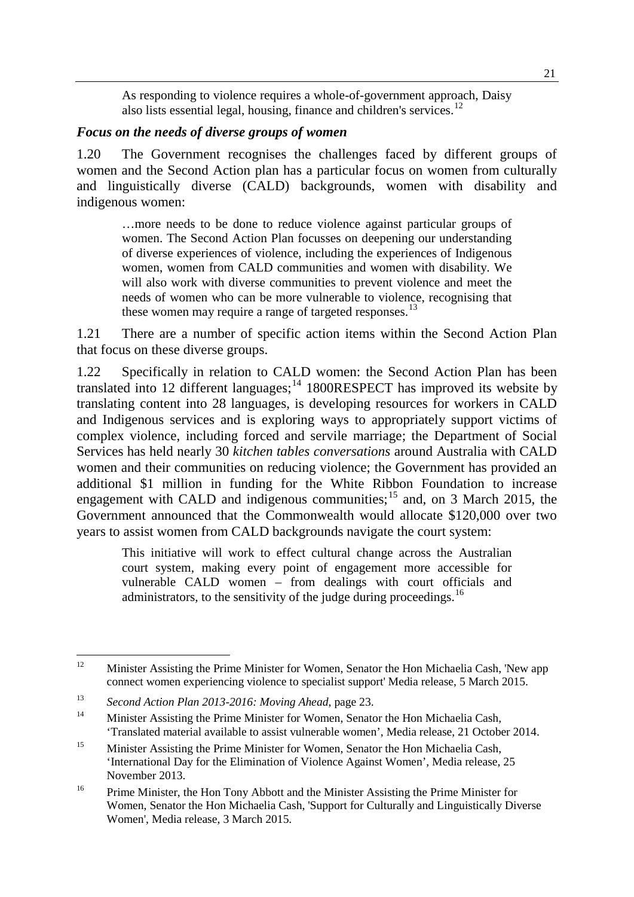As responding to violence requires a whole-of-government approach, Daisy also lists essential legal, housing, finance and children's services.<sup>[12](#page-4-0)</sup>

#### *Focus on the needs of diverse groups of women*

1.20 The Government recognises the challenges faced by different groups of women and the Second Action plan has a particular focus on women from culturally and linguistically diverse (CALD) backgrounds, women with disability and indigenous women:

…more needs to be done to reduce violence against particular groups of women. The Second Action Plan focusses on deepening our understanding of diverse experiences of violence, including the experiences of Indigenous women, women from CALD communities and women with disability. We will also work with diverse communities to prevent violence and meet the needs of women who can be more vulnerable to violence, recognising that these women may require a range of targeted responses.<sup>[13](#page-4-1)</sup>

1.21 There are a number of specific action items within the Second Action Plan that focus on these diverse groups.

1.22 Specifically in relation to CALD women: the Second Action Plan has been translated into 12 different languages;<sup>[14](#page-4-2)</sup> 1800RESPECT has improved its website by translating content into 28 languages, is developing resources for workers in CALD and Indigenous services and is exploring ways to appropriately support victims of complex violence, including forced and servile marriage; the Department of Social Services has held nearly 30 *kitchen tables conversations* around Australia with CALD women and their communities on reducing violence; the Government has provided an additional \$1 million in funding for the White Ribbon Foundation to increase engagement with CALD and indigenous communities;<sup>[15](#page-4-3)</sup> and, on 3 March 2015, the Government announced that the Commonwealth would allocate \$120,000 over two years to assist women from CALD backgrounds navigate the court system:

This initiative will work to effect cultural change across the Australian court system, making every point of engagement more accessible for vulnerable CALD women – from dealings with court officials and administrators, to the sensitivity of the judge during proceedings.<sup>[16](#page-4-4)</sup>

<span id="page-4-0"></span>Minister Assisting the Prime Minister for Women, Senator the Hon Michaelia Cash, 'New app connect women experiencing violence to specialist support' Media release, 5 March 2015.  $12$ 

<span id="page-4-1"></span><sup>13</sup> *Second Action Plan 2013-2016: Moving Ahead*, page 23.

<span id="page-4-2"></span><sup>&</sup>lt;sup>14</sup> Minister Assisting the Prime Minister for Women, Senator the Hon Michaelia Cash, 'Translated material available to assist vulnerable women', Media release, 21 October 2014.

<span id="page-4-3"></span><sup>&</sup>lt;sup>15</sup> Minister Assisting the Prime Minister for Women, Senator the Hon Michaelia Cash, 'International Day for the Elimination of Violence Against Women', Media release, 25 November 2013.

<span id="page-4-4"></span><sup>&</sup>lt;sup>16</sup> Prime Minister, the Hon Tony Abbott and the Minister Assisting the Prime Minister for Women, Senator the Hon Michaelia Cash, 'Support for Culturally and Linguistically Diverse Women', Media release, 3 March 2015.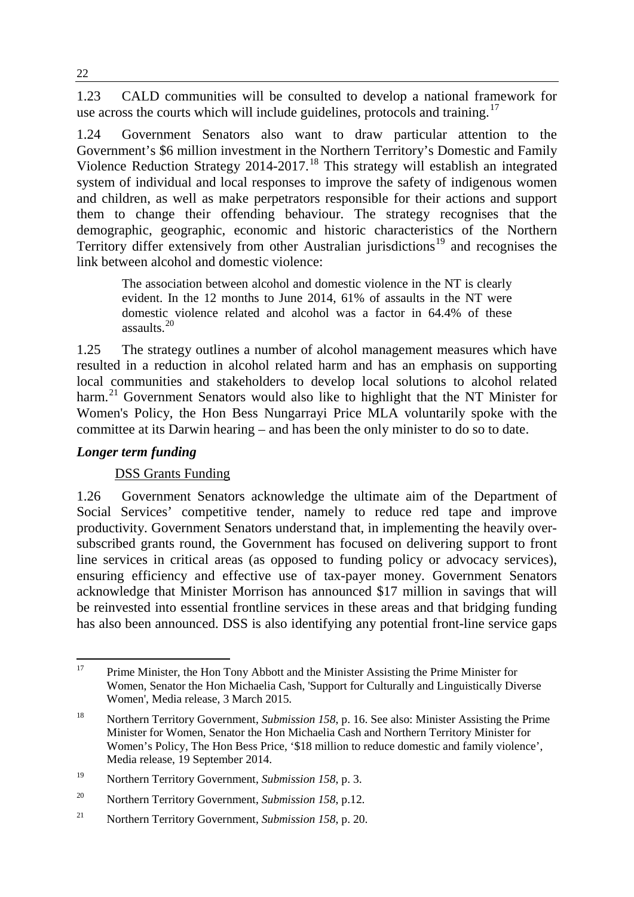1.23 CALD communities will be consulted to develop a national framework for use across the courts which will include guidelines, protocols and training.<sup>[17](#page-5-0)</sup>

1.24 Government Senators also want to draw particular attention to the Government's \$6 million investment in the Northern Territory's Domestic and Family Violence Reduction Strategy 2014-2017.<sup>[18](#page-5-1)</sup> This strategy will establish an integrated system of individual and local responses to improve the safety of indigenous women and children, as well as make perpetrators responsible for their actions and support them to change their offending behaviour. The strategy recognises that the demographic, geographic, economic and historic characteristics of the Northern Territory differ extensively from other Australian jurisdictions<sup>[19](#page-5-2)</sup> and recognises the link between alcohol and domestic violence:

The association between alcohol and domestic violence in the NT is clearly evident. In the 12 months to June 2014, 61% of assaults in the NT were domestic violence related and alcohol was a factor in 64.4% of these assaults.[20](#page-5-3)

1.25 The strategy outlines a number of alcohol management measures which have resulted in a reduction in alcohol related harm and has an emphasis on supporting local communities and stakeholders to develop local solutions to alcohol related harm.<sup>[21](#page-5-4)</sup> Government Senators would also like to highlight that the NT Minister for Women's Policy, the Hon Bess Nungarrayi Price MLA voluntarily spoke with the committee at its Darwin hearing – and has been the only minister to do so to date.

## *Longer term funding*

# DSS Grants Funding

1.26 Government Senators acknowledge the ultimate aim of the Department of Social Services' competitive tender, namely to reduce red tape and improve productivity. Government Senators understand that, in implementing the heavily oversubscribed grants round, the Government has focused on delivering support to front line services in critical areas (as opposed to funding policy or advocacy services), ensuring efficiency and effective use of tax-payer money. Government Senators acknowledge that Minister Morrison has announced \$17 million in savings that will be reinvested into essential frontline services in these areas and that bridging funding has also been announced. DSS is also identifying any potential front-line service gaps

<span id="page-5-0"></span><sup>17</sup> Prime Minister, the Hon Tony Abbott and the Minister Assisting the Prime Minister for Women, Senator the Hon Michaelia Cash, 'Support for Culturally and Linguistically Diverse Women', Media release, 3 March 2015. 17

<span id="page-5-1"></span><sup>18</sup> Northern Territory Government, *Submission 158*, p. 16. See also: Minister Assisting the Prime Minister for Women, Senator the Hon Michaelia Cash and Northern Territory Minister for Women's Policy, The Hon Bess Price, '\$18 million to reduce domestic and family violence', Media release, 19 September 2014.

<span id="page-5-2"></span><sup>19</sup> Northern Territory Government, *Submission 158*, p. 3.

<span id="page-5-3"></span><sup>20</sup> Northern Territory Government, *Submission 158*, p.12.

<span id="page-5-4"></span><sup>21</sup> Northern Territory Government, *Submission 158*, p. 20.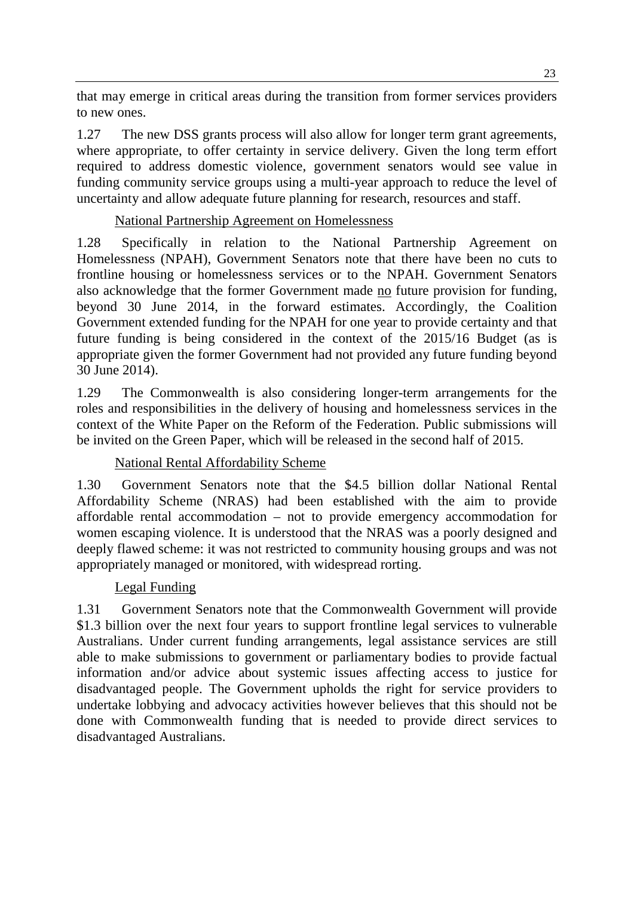that may emerge in critical areas during the transition from former services providers to new ones.

1.27 The new DSS grants process will also allow for longer term grant agreements, where appropriate, to offer certainty in service delivery. Given the long term effort required to address domestic violence, government senators would see value in funding community service groups using a multi-year approach to reduce the level of uncertainty and allow adequate future planning for research, resources and staff.

# National Partnership Agreement on Homelessness

1.28 Specifically in relation to the National Partnership Agreement on Homelessness (NPAH), Government Senators note that there have been no cuts to frontline housing or homelessness services or to the NPAH. Government Senators also acknowledge that the former Government made no future provision for funding, beyond 30 June 2014, in the forward estimates. Accordingly, the Coalition Government extended funding for the NPAH for one year to provide certainty and that future funding is being considered in the context of the 2015/16 Budget (as is appropriate given the former Government had not provided any future funding beyond 30 June 2014).

1.29 The Commonwealth is also considering longer-term arrangements for the roles and responsibilities in the delivery of housing and homelessness services in the context of the White Paper on the Reform of the Federation. Public submissions will be invited on the Green Paper, which will be released in the second half of 2015.

# National Rental Affordability Scheme

1.30 Government Senators note that the \$4.5 billion dollar National Rental Affordability Scheme (NRAS) had been established with the aim to provide affordable rental accommodation – not to provide emergency accommodation for women escaping violence. It is understood that the NRAS was a poorly designed and deeply flawed scheme: it was not restricted to community housing groups and was not appropriately managed or monitored, with widespread rorting.

# Legal Funding

1.31 Government Senators note that the Commonwealth Government will provide \$1.3 billion over the next four years to support frontline legal services to vulnerable Australians. Under current funding arrangements, legal assistance services are still able to make submissions to government or parliamentary bodies to provide factual information and/or advice about systemic issues affecting access to justice for disadvantaged people. The Government upholds the right for service providers to undertake lobbying and advocacy activities however believes that this should not be done with Commonwealth funding that is needed to provide direct services to disadvantaged Australians.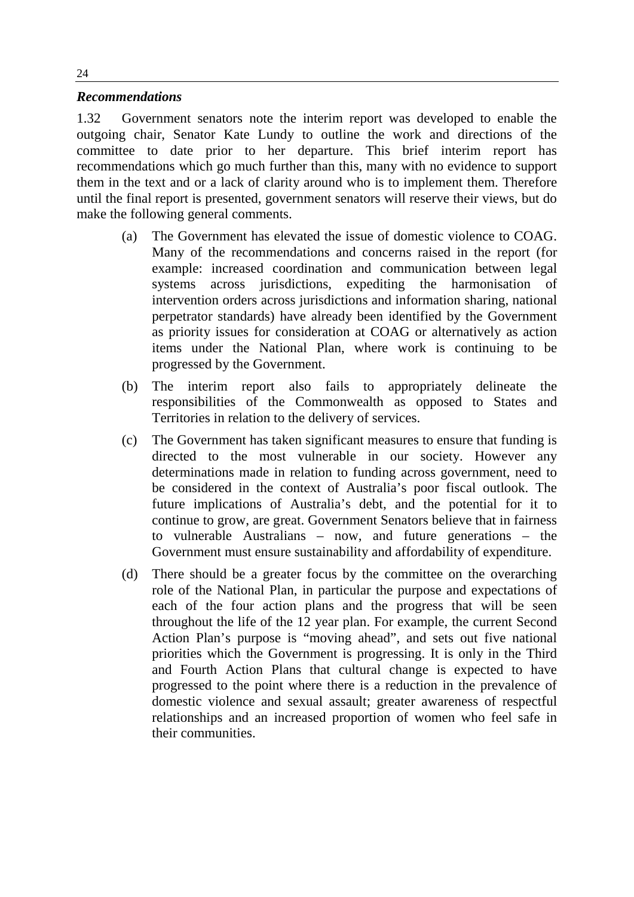#### *Recommendations*

1.32 Government senators note the interim report was developed to enable the outgoing chair, Senator Kate Lundy to outline the work and directions of the committee to date prior to her departure. This brief interim report has recommendations which go much further than this, many with no evidence to support them in the text and or a lack of clarity around who is to implement them. Therefore until the final report is presented, government senators will reserve their views, but do make the following general comments.

- (a) The Government has elevated the issue of domestic violence to COAG. Many of the recommendations and concerns raised in the report (for example: increased coordination and communication between legal systems across jurisdictions, expediting the harmonisation of intervention orders across jurisdictions and information sharing, national perpetrator standards) have already been identified by the Government as priority issues for consideration at COAG or alternatively as action items under the National Plan, where work is continuing to be progressed by the Government.
- (b) The interim report also fails to appropriately delineate the responsibilities of the Commonwealth as opposed to States and Territories in relation to the delivery of services.
- (c) The Government has taken significant measures to ensure that funding is directed to the most vulnerable in our society. However any determinations made in relation to funding across government, need to be considered in the context of Australia's poor fiscal outlook. The future implications of Australia's debt, and the potential for it to continue to grow, are great. Government Senators believe that in fairness to vulnerable Australians – now, and future generations – the Government must ensure sustainability and affordability of expenditure.
- (d) There should be a greater focus by the committee on the overarching role of the National Plan, in particular the purpose and expectations of each of the four action plans and the progress that will be seen throughout the life of the 12 year plan. For example, the current Second Action Plan's purpose is "moving ahead", and sets out five national priorities which the Government is progressing. It is only in the Third and Fourth Action Plans that cultural change is expected to have progressed to the point where there is a reduction in the prevalence of domestic violence and sexual assault; greater awareness of respectful relationships and an increased proportion of women who feel safe in their communities.